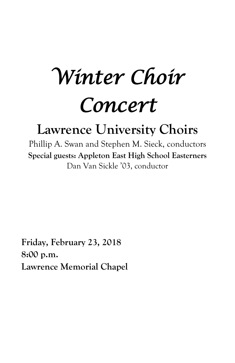# *Winter Choir Concert*

## **Lawrence University Choirs**

Phillip A. Swan and Stephen M. Sieck, conductors **Special guests: Appleton East High School Easterners** Dan Van Sickle '03, conductor

**Friday, February 23, 2018 8:00 p.m. Lawrence Memorial Chapel**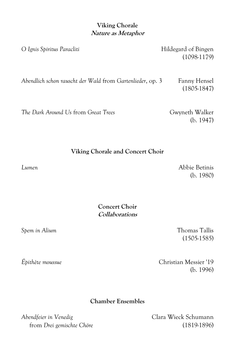## **Viking Chorale Nature as Metaphor**

*O Ignis Spiritus Paracliti* **Algebra** Hildegard of Bingen

(1098-1179)

*Abendlich schon rauscht der Wald* from *Gartenlieder*, op. 3 Fanny Hensel

*The Dark Around Us* from *Great Trees* Gwyneth Walker

(b. 1947)

(1805-1847)

**Viking Chorale and Concert Choir**

*Lumen* Abbie Betinis (b. 1980)

> **Concert Choir Collaborations**

*Spem in Alium* Thomas Tallis

(1505-1585)

*Épithète moussue* Christian Messier '19 (b. 1996)

## **Chamber Ensembles**

*Abendfeier in Venedig* Clara Wieck Schumann from *Drei gemischte Chöre* (1819-1896)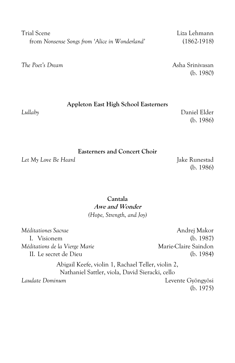Trial Scene Liza Lehmann from *Nonsense Songs from 'Alice in Wonderland'* (1862-1918)

*The Poet's Dream* Asha Srinivasan

**Appleton East High School Easterners**

*Lullaby* Daniel Elder (b. 1986)

**Easterners and Concert Choir**

Let My Love Be Heard **Jake Runestad** 

**Cantala Awe and Wonder** *(Hope, Strength, and Joy)*

*Méditationes Sacrae* Andrej Makor I. Visionem (b. 1987) *Méditations de la Vierge Marie* Marie-Claire Saindon II. Le secret de Dieu (b. 1984) Abigail Keefe, violin 1, Rachael Teller, violin 2, Nathaniel Sattler, viola, David Sieracki, cello *Laudate Dominum* Levente Gyöngyösi

(b. 1980)

(b. 1986)

(b. 1975)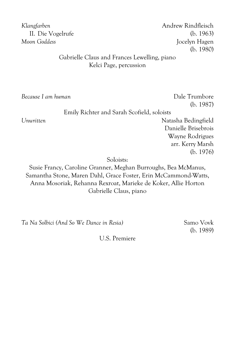*Klangfarben* Andrew Rindfleisch *Moon Goddess* Jocelyn Hagen

II. Die Vogelrufe (b. 1963) (b. 1980)

## Gabrielle Claus and Frances Lewelling, piano Kelci Page, percussion

*Because I am human* Dale Trumbore

(b. 1987)

## Emily Richter and Sarah Scofield, soloists

*Unwritten* Natasha Bedingfield Danielle Brisebrois Wayne Rodrigues arr. Kerry Marsh (b. 1976)

Soloists:

Susie Francy, Caroline Granner, Meghan Burroughs, Bea McManus, Samantha Stone, Maren Dahl, Grace Foster, Erin McCammond-Watts, Anna Mosoriak, Rehanna Rexroat, Marieke de Koker, Allie Horton Gabrielle Claus, piano

*Ta Na Solbici (And So We Dance in Resia)* Samo Vovk

(b. 1989)

U.S. Premiere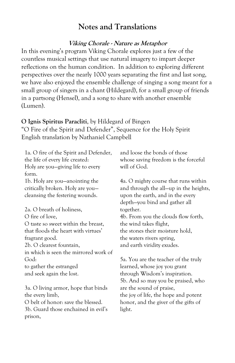## **Notes and Translations**

## **Viking Chorale - Nature as Metaphor**

In this evening's program Viking Chorale explores just a few of the countless musical settings that use natural imagery to impart deeper reflections on the human condition. In addition to exploring different perspectives over the nearly 1000 years separating the first and last song, we have also enjoyed the ensemble challenge of singing a song meant for a small group of singers in a chant (Hildegard), for a small group of friends in a partsong (Hensel), and a song to share with another ensemble (Lumen).

## **O Ignis Spiritus Paracliti**, by Hildegard of Bingen

"O Fire of the Spirit and Defender", Sequence for the Holy Spirit English translation by Nathaniel Campbell

1a. O fire of the Spirit and Defender, the life of every life created: Holy are you—giving life to every form. 1b. Holy are you—anointing the critically broken. Holy are you cleansing the festering wounds. 2a. O breath of holiness, O fire of love, O taste so sweet within the breast, that floods the heart with virtues' fragrant good. 2b. O clearest fountain, in which is seen the mirrored work of God: to gather the estranged and seek again the lost. 3a. O living armor, hope that binds the every limb, O belt of honor: save the blessed. 3b. Guard those enchained in evil's prison, and loose the bonds of those whose saving freedom is the forceful will of God. 4a. O mighty course that runs within and through the all—up in the heights, upon the earth, and in the every depth—you bind and gather all together. 4b. From you the clouds flow forth, the wind takes flight, the stones their moisture hold, the waters rivers spring, and earth viridity exudes. 5a. You are the teacher of the truly learned, whose joy you grant through Wisdom's inspiration. 5b. And so may you be praised, who are the sound of praise, the joy of life, the hope and potent honor, and the giver of the gifts of light.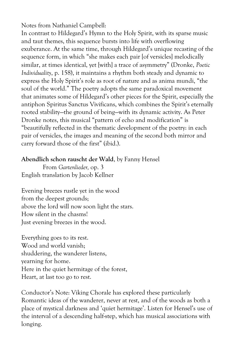Notes from Nathaniel Campbell:

In contrast to Hildegard's Hymn to the Holy Spirit, with its sparse music and taut themes, this sequence bursts into life with overflowing exuberance. At the same time, through Hildegard's unique recasting of the sequence form, in which "she makes each pair [of versicles] melodically similar, at times identical, yet [with] a trace of asymmetry" (Dronke, *Poetic Individuality*, p. 158), it maintains a rhythm both steady and dynamic to express the Holy Spirit's role as root of nature and as anima mundi, "the soul of the world." The poetry adopts the same paradoxical movement that animates some of Hildegard's other pieces for the Spirit, especially the antiphon Spiritus Sanctus Vivificans, which combines the Spirit's eternally rooted stability—the ground of being—with its dynamic activity. As Peter Dronke notes, this musical "pattern of echo and modification" is "beautifully reflected in the thematic development of the poetry: in each pair of versicles, the images and meaning of the second both mirror and carry forward those of the first" (ibid.).

## **Abendlich schon rauscht der Wald**, by Fanny Hensel

From *Gartenlieder,* op. 3 English translation by Jacob Kellner

Evening breezes rustle yet in the wood from the deepest grounds; above the lord will now soon light the stars. How silent in the chasms! Just evening breezes in the wood.

Everything goes to its rest. Wood and world vanish; shuddering, the wanderer listens, yearning for home. Here in the quiet hermitage of the forest, Heart, at last too go to rest.

Conductor's Note: Viking Chorale has explored these particularly Romantic ideas of the wanderer, never at rest, and of the woods as both a place of mystical darkness and 'quiet hermitage'. Listen for Hensel's use of the interval of a descending half-step, which has musical associations with longing.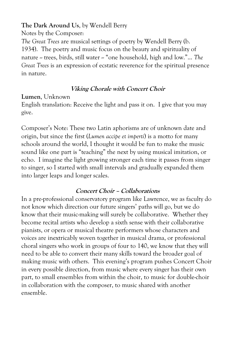## **The Dark Around Us**, by Wendell Berry

Notes by the Composer:

*The Great Trees* are musical settings of poetry by Wendell Berry (b. 1934). The poetry and music focus on the beauty and spirituality of nature -- trees, birds, still water -- "one household, high and low."... *The Great Trees* is an expression of ecstatic reverence for the spiritual presence in nature.

## **Viking Chorale with Concert Choir**

**Lumen**, Unknown

English translation: Receive the light and pass it on. I give that you may give.

Composer's Note: These two Latin aphorisms are of unknown date and origin, but since the first (*Lumen accipe et imperti*) is a motto for many schools around the world, I thought it would be fun to make the music sound like one part is "teaching" the next by using musical imitation, or echo. I imagine the light growing stronger each time it passes from singer to singer, so I started with small intervals and gradually expanded them into larger leaps and longer scales.

## **Concert Choir – Collaborations**

In a pre-professional conservatory program like Lawrence, we as faculty do not know which direction our future singers' paths will go, but we do know that their music-making will surely be collaborative. Whether they become recital artists who develop a sixth sense with their collaborative pianists, or opera or musical theatre performers whose characters and voices are inextricably woven together in musical drama, or professional choral singers who work in groups of four to 140, we know that they will need to be able to convert their many skills toward the broader goal of making music with others. This evening's program pushes Concert Choir in every possible direction, from music where every singer has their own part, to small ensembles from within the choir, to music for double-choir in collaboration with the composer, to music shared with another ensemble.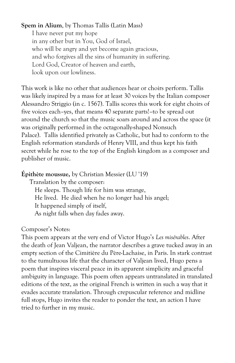## **Spem in Alium**, by Thomas Tallis **(**Latin Mass)

I have never put my hope in any other but in You, God of Israel, who will be angry and yet become again gracious, and who forgives all the sins of humanity in suffering. Lord God, Creator of heaven and earth, look upon our lowliness.

This work is like no other that audiences hear or choirs perform. Tallis was likely inspired by a mass for at least 30 voices by the Italian composer Alessandro Striggio (in c. 1567). Tallis scores this work for eight choirs of five voices each–yes, that means 40 separate parts!–to be spread out around the church so that the music soars around and across the space (it was originally performed in the octagonally-shaped Nonsuch Palace). Tallis identified privately as Catholic, but had to conform to the English reformation standards of Henry VIII, and thus kept his faith secret while he rose to the top of the English kingdom as a composer and publisher of music.

## **Épithète moussue,** by Christian Messier (LU '19)

Translation by the composer: He sleeps. Though life for him was strange, He lived. He died when he no longer had his angel; It happened simply of itself, As night falls when day fades away.

## Composer's Notes:

This poem appears at the very end of Victor Hugo's *Les misérables*. After the death of Jean Valjean, the narrator describes a grave tucked away in an empty section of the Cimitière du Père-Lachaise, in Paris. In stark contrast to the tumultuous life that the character of Valjean lived, Hugo pens a poem that inspires visceral peace in its apparent simplicity and graceful ambiguity in language. This poem often appears untranslated in translated editions of the text, as the original French is written in such a way that it evades accurate translation. Through crepuscular reference and midline full stops, Hugo invites the reader to ponder the text, an action I have tried to further in my music.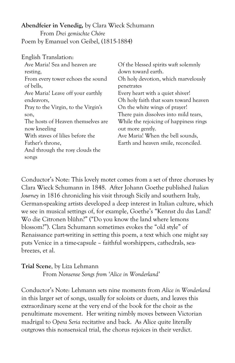**Abendfeier in Venedig,** by Clara Wieck Schumann From *Drei gemischte Chöre* Poem by Emanuel von Geibel, (1815-1884)

| English Translation:                |                                        |
|-------------------------------------|----------------------------------------|
| Ave Maria! Sea and heaven are       | Of the blessed spirits waft solemnly   |
| resting,                            | down toward earth.                     |
| From every tower echoes the sound   | Oh holy devotion, which marvelously    |
| of bells,                           | penetrates                             |
| Ave Maria! Leave off your earthly   | Every heart with a quiet shiver!       |
| endeavors,                          | Oh holy faith that soars toward heaven |
| Pray to the Virgin, to the Virgin's | On the white wings of prayer!          |
| son,                                | There pain dissolves into mild tears,  |
| The hosts of Heaven themselves are  | While the rejoicing of happiness rings |
| now kneeling                        | out more gently.                       |
| With staves of lilies before the    | Ave Maria! When the bell sounds,       |
| Father's throne,                    | Earth and heaven smile, reconciled.    |
| And through the rosy clouds the     |                                        |
| songs                               |                                        |

Conductor's Note: This lovely motet comes from a set of three choruses by Clara Wieck Schumann in 1848. After Johann Goethe published *Italian Journey* in 1816 chronicling his visit through Sicily and southern Italy, German-speaking artists developed a deep interest in Italian culture, which we see in musical settings of, for example, Goethe's "Kennst du das Land? Wo die Citronen blühn?" ("Do you know the land where lemons blossom?"). Clara Schumann sometimes evokes the "old style" of Renaissance part-writing in setting this poem, a text which one might say puts Venice in a time-capsule – faithful worshippers, cathedrals, seabreezes, et al.

#### **Trial Scene**, by Liza Lehmann

From *Nonsense Songs from 'Alice in Wonderland'*

Conductor's Note: Lehmann sets nine moments from *Alice in Wonderland* in this larger set of songs, usually for soloists or duets, and leaves this extraordinary scene at the very end of the book for the choir as the penultimate movement. Her writing nimbly moves between Victorian madrigal to *Opera Seria* recitative and back. As Alice quite literally outgrows this nonsensical trial, the chorus rejoices in their verdict.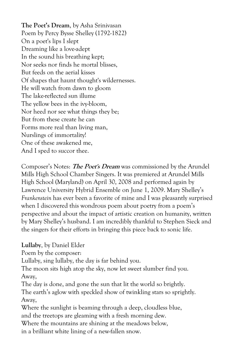**The Poet's Dream**, by Asha Srinivasan Poem by Percy Bysse Shelley (1792-1822) On a poet's lips I slept Dreaming like a love-adept In the sound his breathing kept; Nor seeks nor finds he mortal blisses, But feeds on the aerial kisses Of shapes that haunt thought's wildernesses. He will watch from dawn to gloom The lake-reflected sun illume The yellow bees in the ivy-bloom, Nor heed nor see what things they be; But from these create he can Forms more real than living man, Nurslings of immortality! One of these awakened me, And I sped to succor thee.

Composer's Notes: **The Poet's Dream** was commissioned by the Arundel Mills High School Chamber Singers. It was premiered at Arundel Mills High School (Maryland) on April 30, 2008 and performed again by Lawrence University Hybrid Ensemble on June 1, 2009. Mary Shelley's *Frankenstein* has ever been a favorite of mine and I was pleasantly surprised when I discovered this wondrous poem about poetry from a poem's perspective and about the impact of artistic creation on humanity, written by Mary Shelley's husband. I am incredibly thankful to Stephen Sieck and the singers for their efforts in bringing this piece back to sonic life.

## **Lullaby**, by Daniel Elder

Poem by the composer:

Lullaby, sing lullaby, the day is far behind you.

The moon sits high atop the sky, now let sweet slumber find you. Away,

The day is done, and gone the sun that lit the world so brightly.

The earth's aglow with speckled show of twinkling stars so sprightly. Away,

Where the sunlight is beaming through a deep, cloudless blue, and the treetops are gleaming with a fresh morning dew.

Where the mountains are shining at the meadows below,

in a brilliant white lining of a new-fallen snow.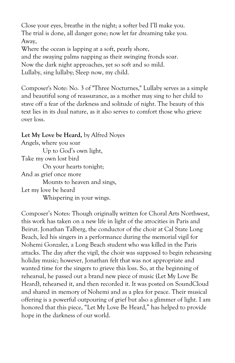Close your eyes, breathe in the night; a softer bed I'll make you. The trial is done, all danger gone; now let far dreaming take you. Away, Where the ocean is lapping at a soft, pearly shore,

and the swaying palms napping as their swinging fronds soar.

Now the dark night approaches, yet so soft and so mild.

Lullaby, sing lullaby; Sleep now, my child.

Composer's Note: No. 3 of "Three Nocturnes," Lullaby serves as a simple and beautiful song of reassurance, as a mother may sing to her child to stave off a fear of the darkness and solitude of night. The beauty of this text lies in its dual nature, as it also serves to comfort those who grieve over loss.

## **Let My Love be Heard,** by Alfred Noyes

Angels, where you soar Up to God's own light, Take my own lost bird On your hearts tonight; And as grief once more Mounts to heaven and sings, Let my love be heard Whispering in your wings.

Composer's Notes: Though originally written for Choral Arts Northwest, this work has taken on a new life in light of the atrocities in Paris and Beirut. Jonathan Talberg, the conductor of the choir at Cal State Long Beach, led his singers in a performance during the memorial vigil for Nohemi Gonzalez, a Long Beach student who was killed in the Paris attacks. The day after the vigil, the choir was supposed to begin rehearsing holiday music; however, Jonathan felt that was not appropriate and wanted time for the singers to grieve this loss. So, at the beginning of rehearsal, he passed out a brand new piece of music (Let My Love Be Heard), rehearsed it, and then recorded it. It was posted on SoundCloud and shared in memory of Nohemi and as a plea for peace. Their musical offering is a powerful outpouring of grief but also a glimmer of light. I am honored that this piece, "Let My Love Be Heard," has helped to provide hope in the darkness of our world.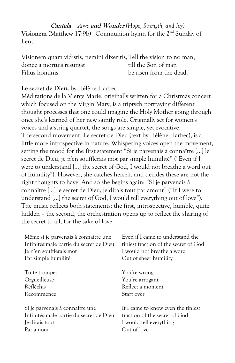**Cantala – Awe and Wonder** *(Hope, Strength, and Joy)* **Visionem** (Matthew 17:9b) **-** Communion hymn for the 2nd Sunday of Lent

Visionem quam vidistis, nemini dixeritis,Tell the vision to no man, donec a mortuis resurgat till the Son of man Filius hominis be risen from the dead.

## **Le secret de Dieu,** by Hélène Harbec

Méditations de la Vierge Marie, originally written for a Christmas concert which focused on the Virgin Mary, is a triptych portraying different thought processes that one could imagine the Holy Mother going through once she's learned of her new saintly role. Originally set for women's voices and a string quartet, the songs are simple, yet evocative. The second movement, Le secret de Dieu (text by Hélène Harbec), is a little more introspective in nature. Whispering voices open the movement, setting the mood for the first statement "Si je parvenais à connaître [...] le secret de Dieu, je n'en soufflerais mot par simple humilité" ("Even if I were to understand […] the secret of God, I would not breathe a word out of humility"). However, she catches herself, and decides these are not the right thoughts to have. And so she begins again: "Si je parvenais à connaître [...] le secret de Dieu, je dirais tout par amour" ("If I were to understand […] the secret of God, I would tell everything out of love"). The music reflects both statements: the first, introspective, humble, quite hidden – the second, the orchestration opens up to reflect the sharing of the secret to all, for the sake of love.

| Même si je parvenais à connaitre une    | Even if I came to understand the      |
|-----------------------------------------|---------------------------------------|
| Infinitésimale partie du secret de Dieu | tiniest fraction of the secret of God |
| Je n'en soufflerais mot                 | I would not breathe a word            |
| Par simple humilité                     | Out of sheer humility                 |
| Tu te trompes                           | You're wrong                          |
| Orgueilleuse                            | You're arrogant                       |
| Réfléchis                               | Reflect a moment                      |

Recommence Si je parvenais à connaitre une Infinitésimale partie du secret de Dieu Je dirais tout

Par amour

Reflect a moment Start over

If I came to know even the tiniest fraction of the secret of God I would tell everything Out of love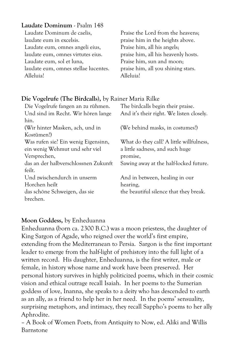## **Laudate Dominum** - Psalm 148

Laudate Dominum de caelis, laudate eum in excelsis. Laudate eum, omnes angeli eius, laudate eum, omnes virtutes eius. Laudate eum, sol et luna, laudate eum, omnes stellae lucentes. Alleluia!

Praise the Lord from the heavens; praise him in the heights above. Praise him, all his angels; praise him, all his heavenly hosts. Praise him, sun and moon; praise him, all you shining stars. Alleluia!

#### **Die Vogelrufe (The Birdcalls),** by Rainer Maria Rilke

| Die Vogelrufe fangen an zu rühmen.   | The birdcalls begin their praise.        |
|--------------------------------------|------------------------------------------|
| Und sind im Recht. Wir hören lange   | And it's their right. We listen closely. |
| hin.                                 |                                          |
| (Wir hinter Masken, ach, und in      | (We behind masks, in costumes!)          |
| Kostümen!)                           |                                          |
| Was rufen sie? Ein wenig Eigensinn,  | What do they call? A little willfulness, |
| ein wenig Wehmut und sehr viel       | a little sadness, and such huge          |
| Versprechen,                         | promise,                                 |
| das an der halbverschlossnen Zukunft | Sawing away at the half-locked future.   |
| feilt.                               |                                          |
| Und zwischendurch in unserm          | And in between, healing in our           |
| Horchen heilt                        | hearing,                                 |
| das schöne Schweigen, das sie        | the beautiful silence that they break.   |
| brechen.                             |                                          |

## **Moon Goddess,** by Enheduanna

Enheduanna (born ca. 2300 B.C.) was a moon priestess, the daughter of King Sargon of Agade, who reigned over the world's first empire, extending from the Mediterranean to Persia. Sargon is the first important leader to emerge from the half-light of prehistory into the full light of a written record. His daughter, Enheduanna, is the first writer, male or female, in history whose name and work have been preserved. Her personal history survives in highly politicized poems, which in their cosmic vision and ethical outrage recall Isaiah. In her poems to the Sumerian goddess of love, Inanna, she speaks to a deity who has descended to earth as an ally, as a friend to help her in her need. In the poems' sensuality, surprising metaphors, and intimacy, they recall Sappho's poems to her ally Aphrodite.

– A Book of Women Poets, from Antiquity to Now, ed. Aliki and Willis Barnstone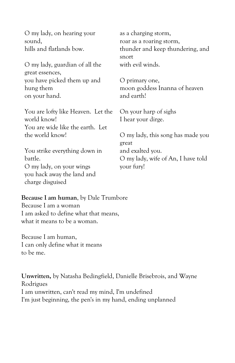O my lady, on hearing your sound, hills and flatlands bow. O my lady, guardian of all the great essences, you have picked them up and hung them on your hand. You are lofty like Heaven. Let the world know! You are wide like the earth. Let the world know! You strike everything down in battle. O my lady, on your wings you hack away the land and charge disguised as a charging storm, roar as a roaring storm, thunder and keep thundering, and snort with evil winds. O primary one, moon goddess Inanna of heaven and earth! On your harp of sighs I hear your dirge. O my lady, this song has made you great and exalted you. O my lady, wife of An, I have told your fury!

#### **Because I am human**, by Dale Trumbore

Because I am a woman I am asked to define what that means, what it means to be a woman.

Because I am human, I can only define what it means to be me.

**Unwritten,** by Natasha Bedingfield, Danielle Brisebrois, and Wayne Rodrigues I am unwritten, can't read my mind, I'm undefined I'm just beginning, the pen's in my hand, ending unplanned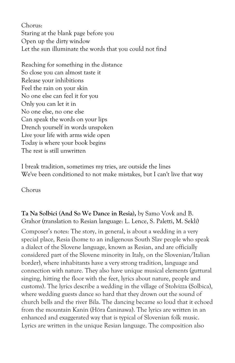Chorus: Staring at the blank page before you Open up the dirty window Let the sun illuminate the words that you could not find

Reaching for something in the distance So close you can almost taste it Release your inhibitions Feel the rain on your skin No one else can feel it for you Only you can let it in No one else, no one else Can speak the words on your lips Drench yourself in words unspoken Live your life with arms wide open Today is where your book begins The rest is still unwritten

I break tradition, sometimes my tries, are outside the lines We've been conditioned to not make mistakes, but I can't live that way

Chorus

**Ta Na Solbici (And So We Dance in Resia),** by Samo Vovk and B. Grahor (translation to Resian language: L. Lence, S. Paletti, M. Sekli)

Composer's notes: The story, in general, is about a wedding in a very special place, Resia (home to an indigenous South Slav people who speak a dialect of the Slovene language, known as Resian, and are officially considered part of the Slovene minority in Italy, on the Slovenian/Italian border), where inhabitants have a very strong tradition, language and connection with nature. They also have unique musical elements (guttural singing, hitting the floor with the feet, lyrics about nature, people and customs). The lyrics describe a wedding in the village of Stolvizza (Solbica), where wedding guests dance so hard that they drown out the sound of church bells and the river Bila. The dancing became so loud that it echoed from the mountain Kanin (Höra Ćaninawa). The lyrics are written in an enhanced and exaggerated way that is typical of Slovenian folk music. Lyrics are written in the unique Resian language. The composition also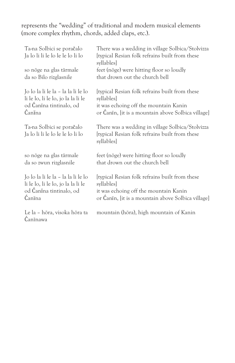represents the "wedding" of traditional and modern musical elements (more complex rhythm, chords, added claps, etc.).

| Ta-na Solbici se poračalo<br>Ja lo li li le lo le le lo li lo | There was a wedding in village Solbica/Stolvizza<br>[typical Resian folk refrains built from these<br>syllables  |
|---------------------------------------------------------------|------------------------------------------------------------------------------------------------------------------|
| so nöge na glas tärmale                                       | feet (nöge) were hitting floor so loudly                                                                         |
| da so Bilo rizglasnile                                        | that drown out the church bell                                                                                   |
| Jo lo la li le la – la la li le lo                            | [typical Resian folk refrains built from these                                                                   |
| li le lo, li le lo, jo la la li le                            | syllables]                                                                                                       |
| od Canïna tintinalo, od                                       | it was echoing off the mountain Kanin                                                                            |
| Ćanïna                                                        | or Canin, [it is a mountain above Solbica village]                                                               |
| Ta-na Solbici se poračalo<br>Ja lo li li le lo le le lo li lo | There was a wedding in village Solbica/Stolvizza<br>[typical Resian folk refrains built from these<br>syllables] |
| so nöge na glas tärmale                                       | feet (nöge) were hitting floor so loudly                                                                         |
| da so zwun rizglasnile                                        | that drown out the church bell                                                                                   |
| Jo lo la li le la - la la li le lo                            | [typical Resian folk refrains built from these                                                                   |
| li le lo, li le lo, jo la la li le                            | syllables]                                                                                                       |
| od Canina tintinalo, od                                       | it was echoing off the mountain Kanin                                                                            |
| Ćanïna                                                        | or Canin, [it is a mountain above Solbica village]                                                               |
| Le la - höra, visoka höra ta<br>Caninawa                      | mountain (höra), high mountain of Kanin                                                                          |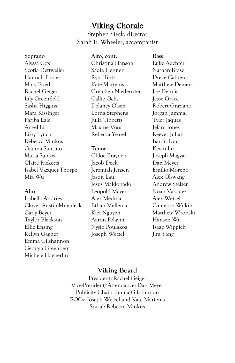## Viking Chorale

Stephen Sieck, director Sarah E. Wheeler, accompanist

#### **Soprano**

Alyssa Cox Scotia Dettweiler Hannah Foote Mary Fried Rachel Geiger Lily Greenfield Sasha Higgins Mara Kissinger Fariba Lale Angel Li Lizzy Lynch Rebecca Minkus Gianna Santino Maria Santos Claire Ricketts Isabel Vazquez-Thorpe Mia Wu

#### **Alto**

Isabella Andries Clover Austin-Muehleck Carly Beyer Taylor Blackson Ellie Ensing Kellyn Gagner Emma Gilshannon Georgia Greenberg Michele Haeberlin

## **Alto, cont.** Christina Hanson Sadie Hennen Ryn Hintz

Kate Martenis Gretchen Niederriter Callie Ochs Delaney Olsen Lorna Stephens Julia Tibbetts Maxine Voss Rebecca Yeazel

#### **Tenor**

Chloe Braynen Jacob Deck Jeremiah Jensen Jason Lau Jesus Maldonado Leopold Mayer Alex Medina Ethan Mellema Kiet Nguyen Aaron Pelavin Nysio Poulakos Joseph Wetzel

#### **Bass**

Luke Auchter Nathan Brase Drece Cabrera Matthew Demers Joe Dennis Jesse Grace Robert Graziano Jorgan Jammal Tyler Jaques Jelani Jones Reever Julian Baron Lam Kevin Lu Joseph Magyar Dan Meyer Emilio Moreno Alex Olswang Andrew Stelzer Noah Vazquez Alex Wetzel Cameron Wilkins Matthew Wronski Hansen Wu Isaac Wippich Jim Yang

## **Viking Board**

President: Rachel Geiger Vice-President/Attendance: Dan Meyer Publicity Chair: Emma Gilshannon EOCs: Joseph Wetzel and Kate Martenis Social: Rebecca Minkus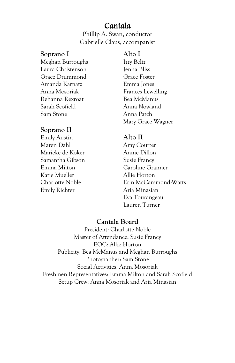## Cantala

Phillip A. Swan, conductor Gabrielle Claus, accompanist

## **Soprano I**

Meghan Burroughs Laura Christenson Grace Drummond Amanda Karnatz Anna Mosoriak Rehanna Rexroat Sarah Scofield Sam Stone

## **Soprano II**

Emily Austin Maren Dahl Marieke de Koker Samantha Gibson Emma Milton Katie Mueller Charlotte Noble Emily Richter

## **Alto I**

Izzy Beltz Jenna Bliss Grace Foster Emma Jones Frances Lewelling Bea McManus Anna Nowland Anna Patch Mary Grace Wagner

## **Alto II**

Amy Courter Annie Dillon Susie Francy Caroline Granner Allie Horton Erin McCammond-Watts Aria Minasian Eva Tourangeau Lauren Turner

## **Cantala Board**

President: Charlotte Noble Master of Attendance: Susie Francy EOC: Allie Horton Publicity: Bea McManus and Meghan Burroughs Photographer: Sam Stone Social Activities: Anna Mosoriak Freshmen Representatives: Emma Milton and Sarah Scofield Setup Crew: Anna Mosoriak and Aria Minasian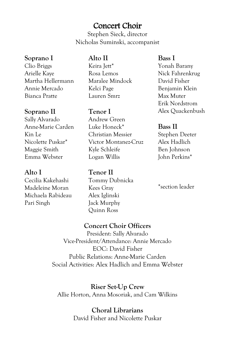## Concert Choir

Stephen Sieck, director Nicholas Suminski, accompanist

## **Soprano I**

Clio Briggs Arielle Kaye Martha Hellermann Annie Mercado Bianca Pratte

## **Soprano II**

Sally Alvarado Anne-Marie Carden Kin Le Nicolette Puskar\* Maggie Smith Emma Webster

## **Alto I**

Cecilia Kakehashi Madeleine Moran Michaela Rabideau Pari Singh

## **Alto II**

Keira Jett\* Rosa Lemos Maralee Mindock Kelci Page Lauren Smrz

## **Tenor I**

Andrew Green Luke Honeck\* Christian Messier Victor Montanez-Cruz Kyle Schleife Logan Willis

## **Tenor II** Tommy Dubnicka Kees Gray Alex Iglinski Jack Murphy Quinn Ross

## **Bass I**

Yonah Barany Nick Fahrenkrug David Fisher Benjamin Klein Max Muter Erik Nordstrom Alex Quackenbush

## **Bass II**

Stephen Deeter Alex Hadlich Ben Johnson John Perkins\*

\*section leader

## **Concert Choir Officers**

President: Sally Alvarado Vice-President/Attendance: Annie Mercado EOC: David Fisher Public Relations: Anne-Marie Carden Social Activities: Alex Hadlich and Emma Webster

**Riser Set-Up Crew** Allie Horton, Anna Mosoriak, and Cam Wilkins

> **Choral Librarians** David Fisher and Nicolette Puskar